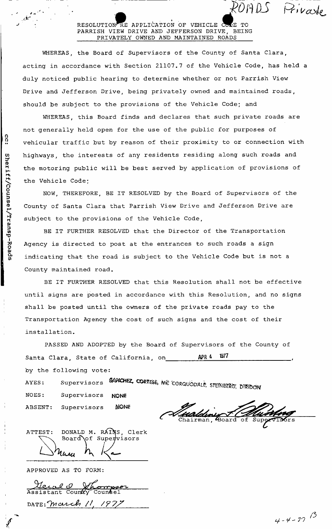### RESOLUTION RE APPLICATION OF VEHICLE COPE TO PARRISH VIEW DRIVE AND JEFFERSON DRIVE, BEING PRIVATELY OWNED AND MAINTAINED ROADS

WHEREAS, the Board of Supervisors of the County of Santa Clara, acting in accordance with Section 21107.7 of the Vehicle Code, has held a duly noticed public hearing to determine whether or not Parrish View Drive and Jefferson Drive, being privately owned and maintained roads, should be subject to the provisions of the Vehicle Code; and

WHEREAS, this Board finds and declares that such private roads are not generally held open for the use of the public for purposes of vehicular traffic but by reason of their proximity to or connection with highways, the interests of any residents residing along such roads and the motoring public will be best served by application of provisions of the Vehicle Code;

NOW, THEREFORE, BE IT RESOLVED by the Board of Supervisors of the County of Santa Clara that Parrish View Drive and Jefferson Drive are subject to the provisions of the Vehicle Code,

BE IT FURTHER RESOLVED that the Director of the Transportation Agency is directed to post at the entrances to such roads a sign indicating that the road is subject to the Vehicle Code but is not a County maintained road.

BE IT FURTHER RESOLVED that this Resolution shall not be effective until signs are posted in accordance with this Resolution, and no signs shall be posted until the owners of the private roads pay to the Transportation Agency the cost of such signs and the cost of their installation.

PASSED AND ADOPTED by the Board of Supervisors of the County of Santa Clara, State of California, on APR 4 1977 by the following vote: AYES: Supervisors SANCHEZ, CORTESE, ME CORQUODALE, STEINBERG, DIRIDON

NOES: Supervisors NONE

**NONE** 

 $\overline{\mathtt{Chairman}}$ , Board

DONALD M. RÁINS, Clerk ATTEST: Board of Supervisors hum

APPROVED AS TO FORM:

ABSENT: Supervisors

<u>Meral O Whompso</u><br>Assistant County Councel DATE: march  $11$ ,  $1977$ 

POARS Private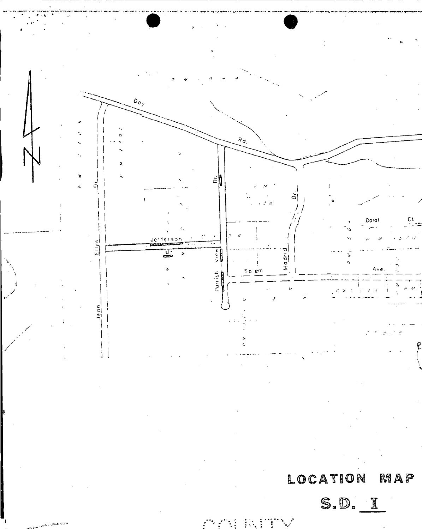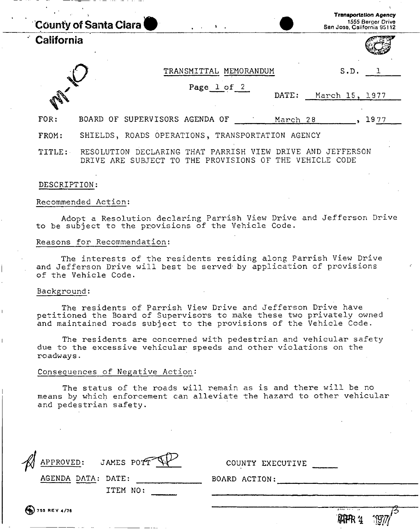|            | <b>County of Santa Clara</b><br>$\mathbf{r} = \mathbf{r} \times \mathbf{r}$                                      | <b>Transportation Agency</b><br>1555 Berger Drive<br>San Jose, California 95112 |
|------------|------------------------------------------------------------------------------------------------------------------|---------------------------------------------------------------------------------|
| California |                                                                                                                  |                                                                                 |
|            | TRANSMITTAL MEMORANDUM                                                                                           | S.D.                                                                            |
|            | Page 1 of 2                                                                                                      | DATE:<br>March 15, 1977                                                         |
| FOR:       | BOARD OF SUPERVISORS AGENDA OF                                                                                   | 1977<br>March 28                                                                |
| FROM:      | SHIELDS, ROADS OPERATIONS, TRANSPORTATION AGENCY                                                                 |                                                                                 |
| TITLE:     | DECLARING THAT PARRISH VIEW DRIVE AND JEFFERSON<br>RESOLUTION<br>PROVISIONS<br>THE<br>DRIVE ARE<br>SUBJECT<br>TО | THE<br>OF.<br>VEHICLE CODE                                                      |

#### DESCRIPTION:

#### Recommended Action:

Adopt a Resolution declaring Parrish View Drive and Jefferson Drive to be subject to the provisions of the Vehicle Code.

#### Reasons for Recommendation:

The interests of the residents residing along Parrish View Drive and Jefferson Drive will best be served by application of provisions of the Vehicle Code.

#### Background:

The residents of Parrish View Drive and Jefferson Drive have petitioned the Board of Supervisors to make these two privately owned and maintained roads subject to the provisions of the Vehicle Code.

The residents are concerned with pedestrian and vehicular safety due to the excessive vehicular speeds and other violations on the roadways.

#### Consequences of Negative Action:

The status of the roads will remain as is and there will be no means by which enforcement can alleviate the hazard to other vehicular and pedestrian safety.

| APPROVED: JAMES POTT<br>AGENDA DATA: DATE: | COUNTY EXECUTIVE<br>BOARD ACTION: |
|--------------------------------------------|-----------------------------------|
| ITEM NO:                                   |                                   |
| <b>ED</b> 755 REV 4/76                     | <b>AHPR 2</b>                     |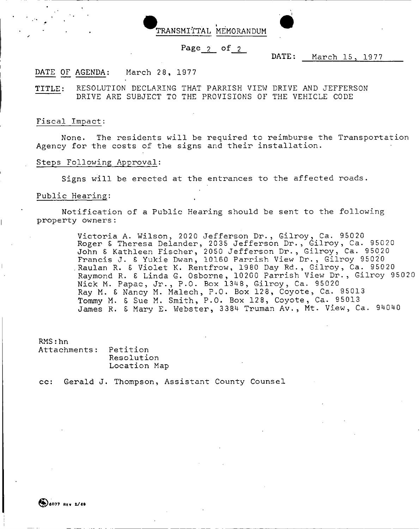

#### **Page 2 of 2**

DATE: March 15 , 1977

DATE OF AGENDA: March 28, 1977

TITLE: RESOLUTION DECLARING THAT PARRISH VIEW DRIVE AND JEFFERSON DRIVE ARE SUBJECT TO THE PROVISIONS OF THE VEHICLE CODE

#### Fiscal Impact:

None. The residents will be required to reimburse the Transportation Agency for the costs of the signs and their installation.

#### Steps Following Approval:

Signs will be erected at the entrances to the affected roads.

#### Public Hearing:

Notification of a Public Hearing should be sent to the following property owners:

> Victoria A. Wilson, 2020 Jefferson Dr., Gilroy, Ca. 95020 Roger £ Theresa Delander, 2035 Jefferson Dr., Gilroy, Ca. 95020 John S Kathleen Fischer, 2050 Jefferson Dr., Gilroy, Ca. 95020 Francis J. £ Yukie Dwan, 10160 Parrish View Dr., Gilroy 95020 .Raulan R. 6 Violet K. Rentfrow, 1980 Day Rd., Gilroy, Ca. 95020 Raymond R. £ Linda G. Osborne, 10200 Parrish View Dr., Gilroy 95020 Nick M. Papac, Jr., P.O. Box 1348, Gilroy, Ca. 95020 Ray M. £ Nancy M. Malech, P.O. Box 128, Coyote, Ca. 95013 Tommy M. £ Sue M. Smith, P.O. Box 128, Coyote, Ca. 95013 James R. £ Mary E. Webster, 3384 Truman Av., Mt. View, Ca. 94040

RMS:hn

Attachments: Petition Resolution Location Map

**cc:** Gerald J. Thompson, Assistant County Counsel

(0) 6077 REV 2/69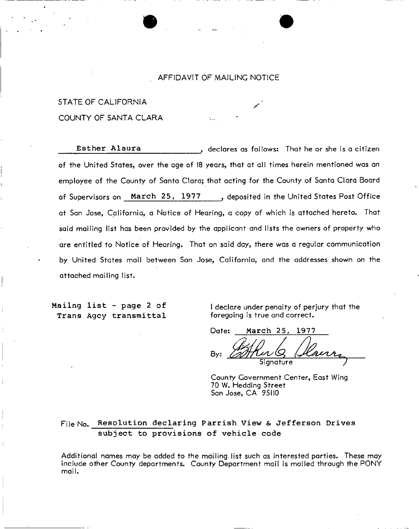#### AFFIDAVIT OF MAILING NOTICE

# STATE OF CALIFORNIA COUNTY OF SANTA CLARA

Esther Alaura **f and the set of the set of the set of the Alaura** f declares as follows: That he or she is a citizen of the United States, over the age of 18 years, that at all times herein mentioned was an employee of the County of Santa Clara; that acting for the County of Santa Clara Board of Supervisors on **March 25, 1977** , deposited in the United States Post Office at San Jose, California, a Notice of Hearing, a copy of which is attached hereto. That said mailing list has been provided by the applicant and lists the owners of property who are entitled to Notice of Hearing. That on said day, there was a regular communication by United States mail between San Jose, California, and the addresses shown on the attached mailing list.

**Trans Agcy transmittal** foregoing is true and correct.

Mailng list - page 2 of I declare under penalty of perjury that the

Date: March 25, 1977

Bv: Signature

County Government Center, East Wing 70 W. Hedding Street San Jose, CA 95110

# File No. **Resolution declaring Parrish View & Jefferson Drives subject to provisions of vehicle code**

Additional names may be added to the mailing list such as interested parties. These may include other County departments. County Department mail is mailed through the PONY mail.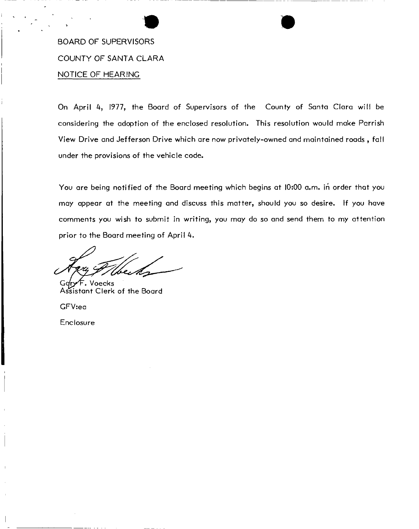# BOARD OF SUPERVISORS COUNTY OF SANTA CLARA NOTICE OF HEARING

On April 4, 1977, the Board of Supervisors of the County of Santa Clara will be considering the adoption of the enclosed resolution. This resolution would make Parrish View Drive and Jefferson Drive which are now privately-owned and maintained roads , fall under the provisions of the vehicle code.

You are being notified of the Board meeting which begins at 10:00 a.m. in order that you may appear at the meeting and discuss this matter, should you so desire. If you have comments you wish to submit in writing, you may do so and send them to my attention prior to the Board meeting of April 4.

Gq**ry<sup>/</sup>F.** Voecks<br>Assistant Clerk of the Board Assistant Clerk of the Board

GFV:ea

Enclosure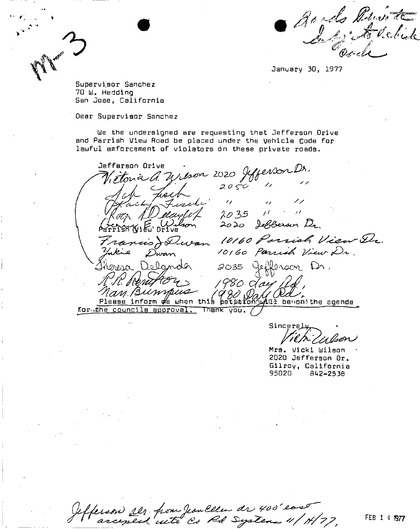Royds Poirott

January 30, 1977

Supervisor Sanchez 70 W. Hedding San Jose, California

Dear Supervisor Sanchez

We the undersigned are requesting that Jefferson Drive and Parrish View Road be placed under the Vehicle Code for lawful emforcement of violaters on these private roads.

Prétoire d'Unison 2020 Jeffenson Dr.<br>Métoire d'Unison 2020 Jeffenson Dr.<br>John Lesert 10 2035 Jefferson Orive FISH WIEW DING<br>"rancis Je Duvan 10160 Parrish View Dr.<br>"whie Dwan" 10160 Parrish View Dr. 2035 Jefferson Dr.<br>1980 Gay 24, Delander May Burnpus (980 Day Pal) for the councils approval. Thank you.

Sincere

Mrs. Vicki Wilson 2020 Jefferson Dr. Gilroy, California 95020 842-2538

efferson ser from Jean Ellen de 400'east

FEB 1 4 7977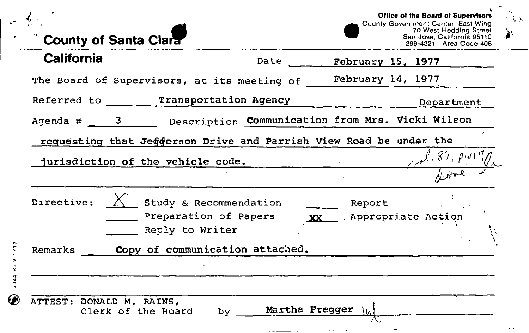|                   |                              |                                                 | Office of the Board of Supervisors<br>County Government Center, East Wing<br>70 West Hedding Street |
|-------------------|------------------------------|-------------------------------------------------|-----------------------------------------------------------------------------------------------------|
|                   | <b>County of Santa Clara</b> |                                                 | San Jose, California 95110<br>299-4321 Area Code 408                                                |
| <b>California</b> |                              |                                                 | Date February 15, 1977                                                                              |
|                   |                              |                                                 | The Board of Supervisors, at its meeting of February 14, 1977                                       |
|                   |                              | Referred to ______ Transportation Agency        | Department                                                                                          |
|                   |                              |                                                 | Agenda # 3 Description Communication from Mrs. Vicki Wilson                                         |
|                   |                              |                                                 | requesting that Jeggerson Drive and Parrish View Road be under the                                  |
|                   |                              | jurisdiction of the vehicle code.               |                                                                                                     |
|                   |                              |                                                 |                                                                                                     |
|                   |                              | Study & Recommendation<br>Preparation of Papers | Report<br>XX  Appropriate Action                                                                    |
| Directive: $\sum$ | Reply to Writer              |                                                 |                                                                                                     |
|                   |                              | Remarks _____ Copy of communication attached.   |                                                                                                     |
|                   |                              |                                                 |                                                                                                     |

-

 $\sim$   $\sim$  $\cdot$  $\frac{1}{2} \left( \frac{1}{2} \right) \left( \frac{1}{2} \right) \left( \frac{1}{2} \right) \left( \frac{1}{2} \right)$